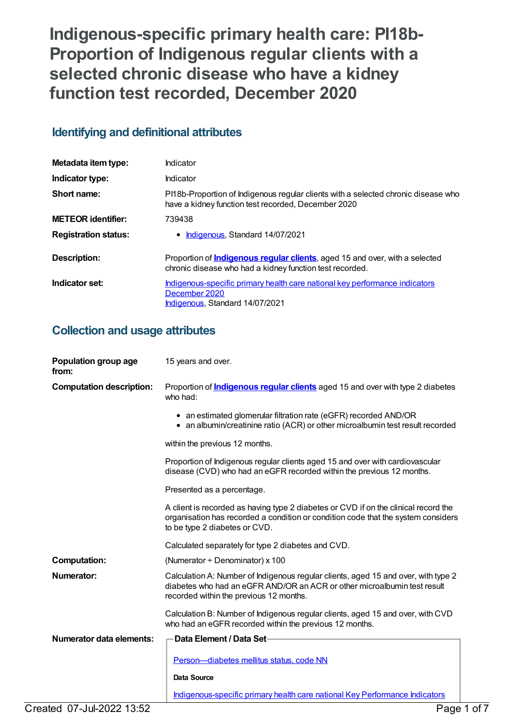**Indigenous-specific primary health care: PI18b-Proportion of Indigenous regular clients with a selected chronic disease who have a kidney function test recorded, December 2020**

# **Identifying and definitional attributes**

| Metadata item type:         | Indicator                                                                                                                                       |
|-----------------------------|-------------------------------------------------------------------------------------------------------------------------------------------------|
| Indicator type:             | Indicator                                                                                                                                       |
| Short name:                 | PI18b-Proportion of Indigenous regular clients with a selected chronic disease who<br>have a kidney function test recorded, December 2020       |
| <b>METEOR</b> identifier:   | 739438                                                                                                                                          |
| <b>Registration status:</b> | <b>Indigenous, Standard 14/07/2021</b>                                                                                                          |
| Description:                | Proportion of <b>Indigenous regular clients</b> , aged 15 and over, with a selected<br>chronic disease who had a kidney function test recorded. |
| Indicator set:              | Indigenous-specific primary health care national key performance indicators<br>December 2020<br>Indigenous, Standard 14/07/2021                 |

# **Collection and usage attributes**

| Population group age<br>from:   | 15 years and over.                                                                                                                                                                                        |
|---------------------------------|-----------------------------------------------------------------------------------------------------------------------------------------------------------------------------------------------------------|
| <b>Computation description:</b> | Proportion of <b>Indigenous regular clients</b> aged 15 and over with type 2 diabetes<br>who had:                                                                                                         |
|                                 | • an estimated glomerular filtration rate (eGFR) recorded AND/OR<br>• an albumin/creatinine ratio (ACR) or other microalbumin test result recorded                                                        |
|                                 | within the previous 12 months.                                                                                                                                                                            |
|                                 | Proportion of Indigenous regular clients aged 15 and over with cardiovascular<br>disease (CVD) who had an eGFR recorded within the previous 12 months.                                                    |
|                                 | Presented as a percentage.                                                                                                                                                                                |
|                                 | A client is recorded as having type 2 diabetes or CVD if on the clinical record the<br>organisation has recorded a condition or condition code that the system considers<br>to be type 2 diabetes or CVD. |
|                                 | Calculated separately for type 2 diabetes and CVD.                                                                                                                                                        |
| <b>Computation:</b>             | (Numerator $\div$ Denominator) x 100                                                                                                                                                                      |
| Numerator:                      | Calculation A: Number of Indigenous regular clients, aged 15 and over, with type 2<br>diabetes who had an eGFR AND/OR an ACR or other microalbumin test result<br>recorded within the previous 12 months. |
|                                 | Calculation B: Number of Indigenous regular clients, aged 15 and over, with CVD<br>who had an eGFR recorded within the previous 12 months.                                                                |
| Numerator data elements:        | Data Element / Data Set-                                                                                                                                                                                  |
|                                 | Person-diabetes mellitus status, code NN                                                                                                                                                                  |
|                                 | <b>Data Source</b>                                                                                                                                                                                        |
|                                 | Indigenous-specific primary health care national Key Performance Indicators                                                                                                                               |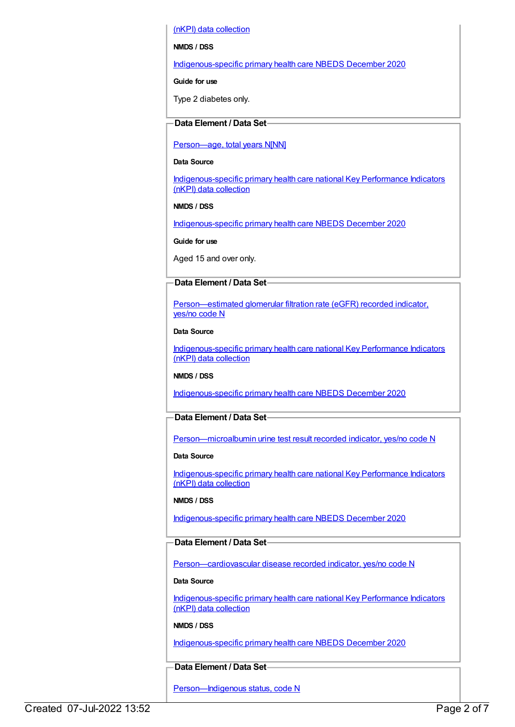(nKPI) data collection

#### **NMDS / DSS**

[Indigenous-specific](https://meteor.aihw.gov.au/content/738532) primary health care NBEDS December 2020

#### **Guide for use**

Type 2 diabetes only.

## **Data Element / Data Set**

#### [Person—age,](https://meteor.aihw.gov.au/content/303794) total years N[NN]

#### **Data Source**

[Indigenous-specific](https://meteor.aihw.gov.au/content/737914) primary health care national Key Performance Indicators (nKPI) data collection

#### **NMDS / DSS**

[Indigenous-specific](https://meteor.aihw.gov.au/content/738532) primary health care NBEDS December 2020

**Guide for use**

Aged 15 and over only.

### **Data Element / Data Set**

[Person—estimated](https://meteor.aihw.gov.au/content/464961) glomerular filtration rate (eGFR) recorded indicator, yes/no code N

#### **Data Source**

[Indigenous-specific](https://meteor.aihw.gov.au/content/737914) primary health care national Key Performance Indicators (nKPI) data collection

#### **NMDS / DSS**

[Indigenous-specific](https://meteor.aihw.gov.au/content/738532) primary health care NBEDS December 2020

# **Data Element / Data Set**

[Person—microalbumin](https://meteor.aihw.gov.au/content/464970) urine test result recorded indicator, yes/no code N

#### **Data Source**

[Indigenous-specific](https://meteor.aihw.gov.au/content/737914) primary health care national Key Performance Indicators (nKPI) data collection

#### **NMDS / DSS**

[Indigenous-specific](https://meteor.aihw.gov.au/content/738532) primary health care NBEDS December 2020

#### **Data Element / Data Set**

[Person—cardiovascular](https://meteor.aihw.gov.au/content/465948) disease recorded indicator, yes/no code N

#### **Data Source**

[Indigenous-specific](https://meteor.aihw.gov.au/content/737914) primary health care national Key Performance Indicators (nKPI) data collection

#### **NMDS / DSS**

[Indigenous-specific](https://meteor.aihw.gov.au/content/738532) primary health care NBEDS December 2020

# **Data Element / Data Set**

Person-Indigenous status, code N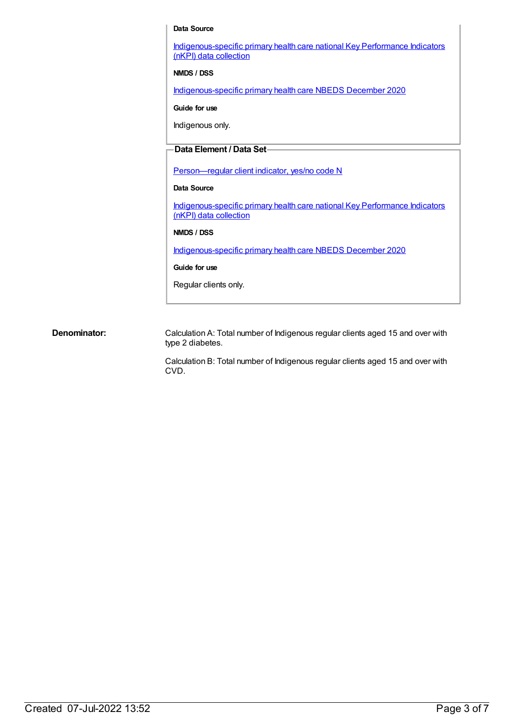#### **Data Source**

[Indigenous-specific](https://meteor.aihw.gov.au/content/737914) primary health care national Key Performance Indicators (nKPI) data collection

**NMDS / DSS**

[Indigenous-specific](https://meteor.aihw.gov.au/content/738532) primary health care NBEDS December 2020

**Guide for use**

Indigenous only.

## **Data Element / Data Set**

[Person—regular](https://meteor.aihw.gov.au/content/686291) client indicator, yes/no code N

#### **Data Source**

[Indigenous-specific](https://meteor.aihw.gov.au/content/737914) primary health care national Key Performance Indicators (nKPI) data collection

#### **NMDS / DSS**

[Indigenous-specific](https://meteor.aihw.gov.au/content/738532) primary health care NBEDS December 2020

#### **Guide for use**

Regular clients only.

**Denominator:** Calculation A: Total number of Indigenous regular clients aged 15 and over with type 2 diabetes.

> Calculation B: Total number of Indigenous regular clients aged 15 and over with CVD.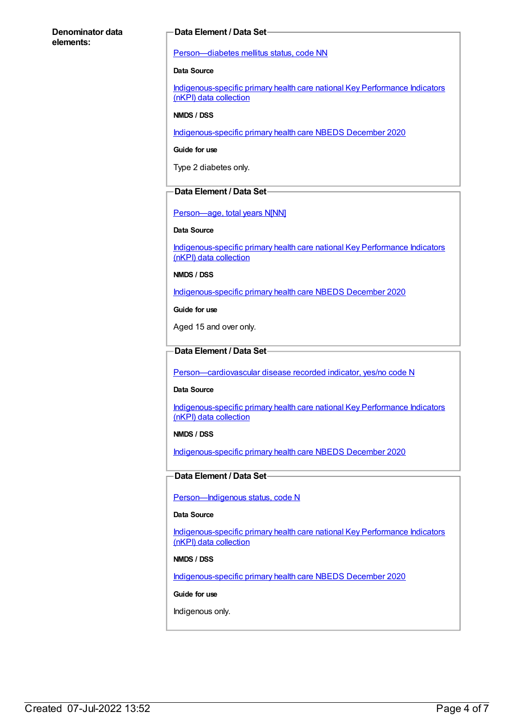#### **Denominator data elements:**

#### **Data Element / Data Set**

[Person—diabetes](https://meteor.aihw.gov.au/content/270194) mellitus status, code NN

#### **Data Source**

[Indigenous-specific](https://meteor.aihw.gov.au/content/737914) primary health care national Key Performance Indicators (nKPI) data collection

#### **NMDS / DSS**

[Indigenous-specific](https://meteor.aihw.gov.au/content/738532) primary health care NBEDS December 2020

**Guide for use**

Type 2 diabetes only.

#### **Data Element / Data Set**

[Person—age,](https://meteor.aihw.gov.au/content/303794) total years N[NN]

#### **Data Source**

[Indigenous-specific](https://meteor.aihw.gov.au/content/737914) primary health care national Key Performance Indicators (nKPI) data collection

**NMDS / DSS**

[Indigenous-specific](https://meteor.aihw.gov.au/content/738532) primary health care NBEDS December 2020

**Guide for use**

Aged 15 and over only.

## **Data Element / Data Set**

[Person—cardiovascular](https://meteor.aihw.gov.au/content/465948) disease recorded indicator, yes/no code N

#### **Data Source**

[Indigenous-specific](https://meteor.aihw.gov.au/content/737914) primary health care national Key Performance Indicators (nKPI) data collection

#### **NMDS / DSS**

[Indigenous-specific](https://meteor.aihw.gov.au/content/738532) primary health care NBEDS December 2020

### **Data Element / Data Set**

[Person—Indigenous](https://meteor.aihw.gov.au/content/602543) status, code N

#### **Data Source**

[Indigenous-specific](https://meteor.aihw.gov.au/content/737914) primary health care national Key Performance Indicators (nKPI) data collection

#### **NMDS / DSS**

[Indigenous-specific](https://meteor.aihw.gov.au/content/738532) primary health care NBEDS December 2020

**Guide for use**

Indigenous only.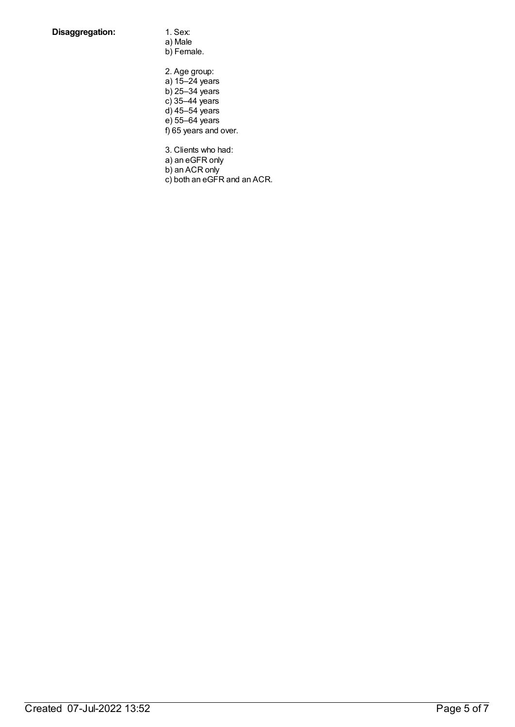- a) Male b) Female.
- 2. Age group: a) 15–24 years b) 25–34 years c) 35–44 years d) 45–54 years e) 55–64 years f) 65 years and over.

3. Clients who had:

a) an eGFR only

b) an ACR only

c) both an eGFR and an ACR.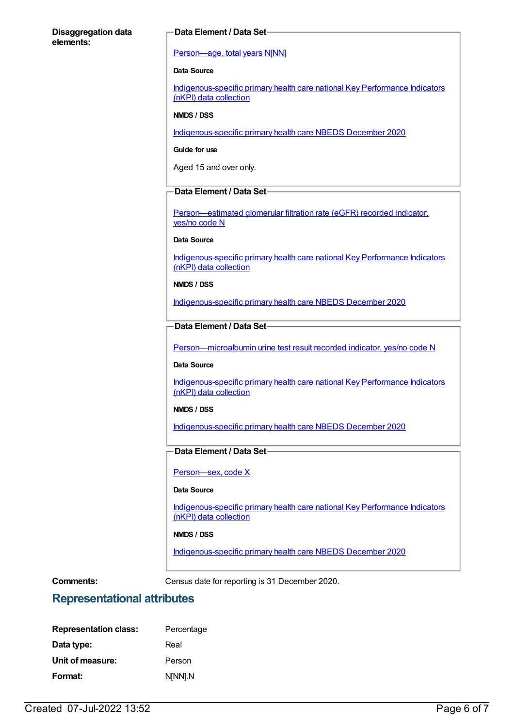#### **Disaggregation data elements:**

#### **Data Element / Data Set**

#### [Person—age,](https://meteor.aihw.gov.au/content/303794) total years N[NN]

#### **Data Source**

[Indigenous-specific](https://meteor.aihw.gov.au/content/737914) primary health care national Key Performance Indicators (nKPI) data collection

#### **NMDS / DSS**

[Indigenous-specific](https://meteor.aihw.gov.au/content/738532) primary health care NBEDS December 2020

**Guide for use**

Aged 15 and over only.

#### **Data Element / Data Set**

[Person—estimated](https://meteor.aihw.gov.au/content/464961) glomerular filtration rate (eGFR) recorded indicator, yes/no code N

#### **Data Source**

[Indigenous-specific](https://meteor.aihw.gov.au/content/737914) primary health care national Key Performance Indicators (nKPI) data collection

#### **NMDS / DSS**

[Indigenous-specific](https://meteor.aihw.gov.au/content/738532) primary health care NBEDS December 2020

### **Data Element / Data Set**

[Person—microalbumin](https://meteor.aihw.gov.au/content/464970) urine test result recorded indicator, yes/no code N

#### **Data Source**

[Indigenous-specific](https://meteor.aihw.gov.au/content/737914) primary health care national Key Performance Indicators (nKPI) data collection

#### **NMDS / DSS**

[Indigenous-specific](https://meteor.aihw.gov.au/content/738532) primary health care NBEDS December 2020

# **Data Element / Data Set**

[Person—sex,](https://meteor.aihw.gov.au/content/635126) code X

#### **Data Source**

[Indigenous-specific](https://meteor.aihw.gov.au/content/737914) primary health care national Key Performance Indicators (nKPI) data collection

#### **NMDS / DSS**

[Indigenous-specific](https://meteor.aihw.gov.au/content/738532) primary health care NBEDS December 2020

**Comments:** Census date for reporting is 31 December 2020.

# **Representational attributes**

| <b>Representation class:</b> | Percentage |
|------------------------------|------------|
| Data type:                   | Real       |
| Unit of measure:             | Person     |
| Format:                      | N[NN].N    |